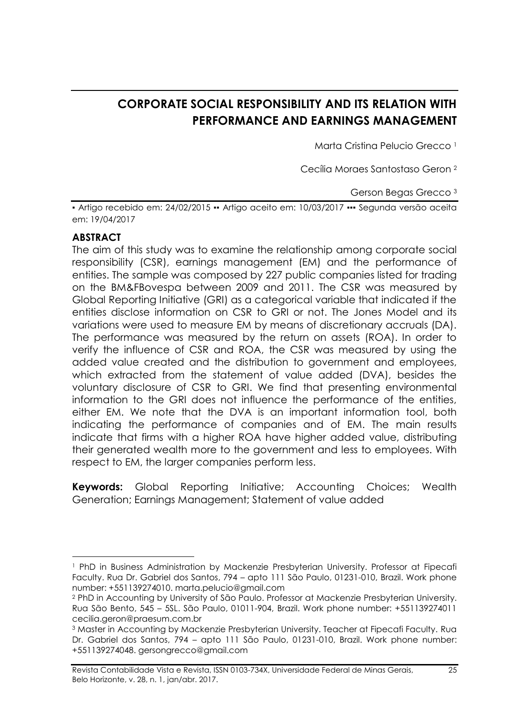# **CORPORATE SOCIAL RESPONSIBILITY AND ITS RELATION WITH PERFORMANCE AND EARNINGS MANAGEMENT**

Marta Cristina Pelucio Grecco <sup>1</sup>

Cecília Moraes Santostaso Geron <sup>2</sup>

Gerson Begas Grecco <sup>3</sup>

▪ Artigo recebido em: 24/02/2015 ▪▪ Artigo aceito em: 10/03/2017 ▪▪▪ Segunda versão aceita em: 19/04/2017

#### **ABSTRACT**

The aim of this study was to examine the relationship among corporate social responsibility (CSR), earnings management (EM) and the performance of entities. The sample was composed by 227 public companies listed for trading on the BM&FBovespa between 2009 and 2011. The CSR was measured by Global Reporting Initiative (GRI) as a categorical variable that indicated if the entities disclose information on CSR to GRI or not. The Jones Model and its variations were used to measure EM by means of discretionary accruals (DA). The performance was measured by the return on assets (ROA). In order to verify the influence of CSR and ROA, the CSR was measured by using the added value created and the distribution to government and employees, which extracted from the statement of value added (DVA), besides the voluntary disclosure of CSR to GRI. We find that presenting environmental information to the GRI does not influence the performance of the entities, either EM. We note that the DVA is an important information tool, both indicating the performance of companies and of EM. The main results indicate that firms with a higher ROA have higher added value, distributing their generated wealth more to the government and less to employees. With respect to EM, the larger companies perform less.

**Keywords:** Global Reporting Initiative; Accounting Choices; Wealth Generation; Earnings Management; Statement of value added

**<sup>.</sup>** <sup>1</sup> PhD in Business Administration by Mackenzie Presbyterian University. Professor at Fipecafi Faculty. Rua Dr. Gabriel dos Santos, 794 – apto 111 São Paulo, 01231-010, Brazil. Work phone number: +551139274010. marta.pelucio@gmail.com

<sup>2</sup> PhD in Accounting by University of São Paulo. Professor at Mackenzie Presbyterian University. Rua São Bento, 545 – 5SL. São Paulo, 01011-904, Brazil. Work phone number: +551139274011 cecilia.geron@praesum.com.br

<sup>&</sup>lt;sup>3</sup> Master in Accounting by Mackenzie Presbyterian University. Teacher at Fipecafi Faculty. Rua Dr. Gabriel dos Santos, 794 – apto 111 São Paulo, 01231-010, Brazil. Work phone number: +551139274048. gersongrecco@gmail.com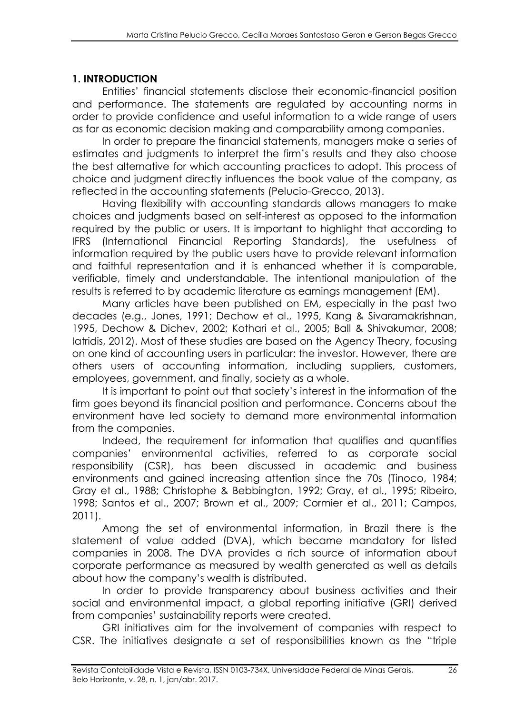#### **1. INTRODUCTION**

Entities' financial statements disclose their economic-financial position and performance. The statements are regulated by accounting norms in order to provide confidence and useful information to a wide range of users as far as economic decision making and comparability among companies.

In order to prepare the financial statements, managers make a series of estimates and judgments to interpret the firm's results and they also choose the best alternative for which accounting practices to adopt. This process of choice and judgment directly influences the book value of the company, as reflected in the accounting statements (Pelucio-Grecco, 2013).

Having flexibility with accounting standards allows managers to make choices and judgments based on self-interest as opposed to the information required by the public or users. It is important to highlight that according to IFRS (International Financial Reporting Standards), the usefulness of information required by the public users have to provide relevant information and faithful representation and it is enhanced whether it is comparable, verifiable, timely and understandable. The intentional manipulation of the results is referred to by academic literature as earnings management (EM).

Many articles have been published on EM, especially in the past two decades (e.g., Jones, 1991; Dechow et al., 1995, Kang & Sivaramakrishnan, 1995, Dechow & Dichev, 2002; Kothari et al., 2005; Ball & Shivakumar, 2008; Iatridis, 2012). Most of these studies are based on the Agency Theory, focusing on one kind of accounting users in particular: the investor. However, there are others users of accounting information, including suppliers, customers, employees, government, and finally, society as a whole.

It is important to point out that society's interest in the information of the firm goes beyond its financial position and performance. Concerns about the environment have led society to demand more environmental information from the companies.

Indeed, the requirement for information that qualifies and quantifies companies' environmental activities, referred to as corporate social responsibility (CSR), has been discussed in academic and business environments and gained increasing attention since the 70s (Tinoco, 1984; Gray et al., 1988; Christophe & Bebbington, 1992; Gray, et al., 1995; Ribeiro, 1998; Santos et al., 2007; Brown et al., 2009; Cormier et al., 2011; Campos, 2011).

Among the set of environmental information, in Brazil there is the statement of value added (DVA), which became mandatory for listed companies in 2008. The DVA provides a rich source of information about corporate performance as measured by wealth generated as well as details about how the company's wealth is distributed.

In order to provide transparency about business activities and their social and environmental impact, a global reporting initiative (GRI) derived from companies' sustainability reports were created.

GRI initiatives aim for the involvement of companies with respect to CSR. The initiatives designate a set of responsibilities known as the "triple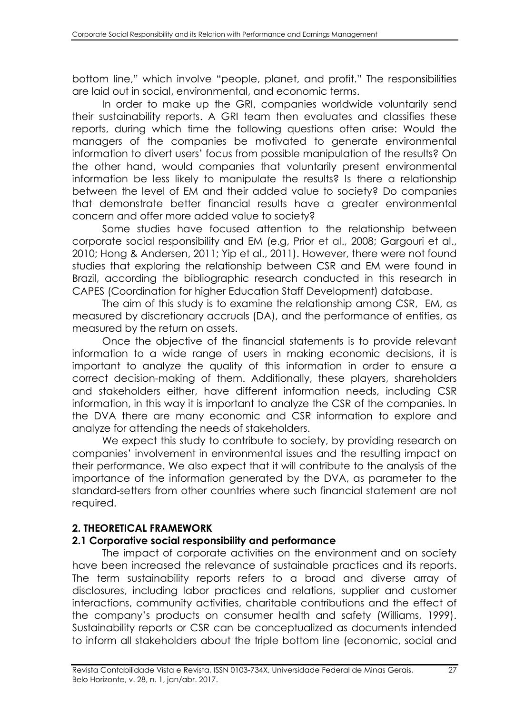bottom line," which involve "people, planet, and profit." The responsibilities are laid out in social, environmental, and economic terms.

In order to make up the GRI, companies worldwide voluntarily send their sustainability reports. A GRI team then evaluates and classifies these reports, during which time the following questions often arise: Would the managers of the companies be motivated to generate environmental information to divert users' focus from possible manipulation of the results? On the other hand, would companies that voluntarily present environmental information be less likely to manipulate the results? Is there a relationship between the level of EM and their added value to society? Do companies that demonstrate better financial results have a greater environmental concern and offer more added value to society?

Some studies have focused attention to the relationship between corporate social responsibility and EM (e.g, Prior et al., 2008; Gargouri et al., 2010; Hong & Andersen, 2011; Yip et al., 2011). However, there were not found studies that exploring the relationship between CSR and EM were found in Brazil, according the bibliographic research conducted in this research in CAPES (Coordination for higher Education Staff Development) database.

The aim of this study is to examine the relationship among CSR, EM, as measured by discretionary accruals (DA), and the performance of entities, as measured by the return on assets.

Once the objective of the financial statements is to provide relevant information to a wide range of users in making economic decisions, it is important to analyze the quality of this information in order to ensure a correct decision-making of them. Additionally, these players, shareholders and stakeholders either, have different information needs, including CSR information, in this way it is important to analyze the CSR of the companies. In the DVA there are many economic and CSR information to explore and analyze for attending the needs of stakeholders.

We expect this study to contribute to society, by providing research on companies' involvement in environmental issues and the resulting impact on their performance. We also expect that it will contribute to the analysis of the importance of the information generated by the DVA, as parameter to the standard-setters from other countries where such financial statement are not required.

## **2. THEORETICAL FRAMEWORK**

#### **2.1 Corporative social responsibility and performance**

The impact of corporate activities on the environment and on society have been increased the relevance of sustainable practices and its reports. The term sustainability reports refers to a broad and diverse array of disclosures, including labor practices and relations, supplier and customer interactions, community activities, charitable contributions and the effect of the company's products on consumer health and safety (Williams, 1999). Sustainability reports or CSR can be conceptualized as documents intended to inform all stakeholders about the triple bottom line (economic, social and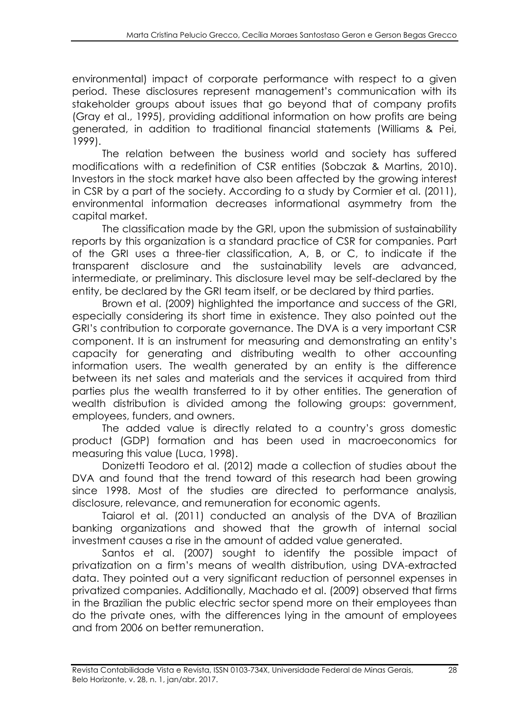environmental) impact of corporate performance with respect to a given period. These disclosures represent management's communication with its stakeholder groups about issues that go beyond that of company profits (Gray et al., 1995), providing additional information on how profits are being generated, in addition to traditional financial statements (Williams & Pei, 1999).

The relation between the business world and society has suffered modifications with a redefinition of CSR entities (Sobczak & Martins, 2010). Investors in the stock market have also been affected by the growing interest in CSR by a part of the society. According to a study by Cormier et al. (2011), environmental information decreases informational asymmetry from the capital market.

The classification made by the GRI, upon the submission of sustainability reports by this organization is a standard practice of CSR for companies. Part of the GRI uses a three-tier classification, A, B, or C, to indicate if the transparent disclosure and the sustainability levels are advanced, intermediate, or preliminary. This disclosure level may be self-declared by the entity, be declared by the GRI team itself, or be declared by third parties.

Brown et al. (2009) highlighted the importance and success of the GRI, especially considering its short time in existence. They also pointed out the GRI's contribution to corporate governance. The DVA is a very important CSR component. It is an instrument for measuring and demonstrating an entity's capacity for generating and distributing wealth to other accounting information users. The wealth generated by an entity is the difference between its net sales and materials and the services it acquired from third parties plus the wealth transferred to it by other entities. The generation of wealth distribution is divided among the following groups: government, employees, funders, and owners.

The added value is directly related to a country's gross domestic product (GDP) formation and has been used in macroeconomics for measuring this value (Luca, 1998).

Donizetti Teodoro et al. (2012) made a collection of studies about the DVA and found that the trend toward of this research had been growing since 1998. Most of the studies are directed to performance analysis, disclosure, relevance, and remuneration for economic agents.

Taiarol et al. (2011) conducted an analysis of the DVA of Brazilian banking organizations and showed that the growth of internal social investment causes a rise in the amount of added value generated.

Santos et al. (2007) sought to identify the possible impact of privatization on a firm's means of wealth distribution, using DVA-extracted data. They pointed out a very significant reduction of personnel expenses in privatized companies. Additionally, Machado et al. (2009) observed that firms in the Brazilian the public electric sector spend more on their employees than do the private ones, with the differences lying in the amount of employees and from 2006 on better remuneration.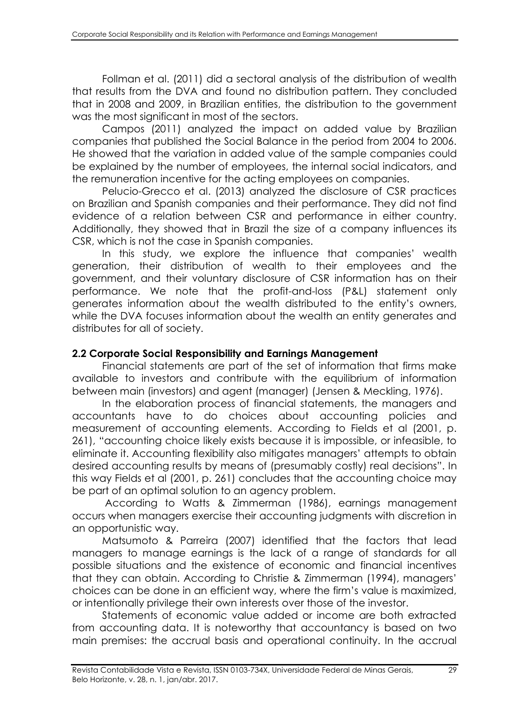Follman et al. (2011) did a sectoral analysis of the distribution of wealth that results from the DVA and found no distribution pattern. They concluded that in 2008 and 2009, in Brazilian entities, the distribution to the government was the most significant in most of the sectors.

Campos (2011) analyzed the impact on added value by Brazilian companies that published the Social Balance in the period from 2004 to 2006. He showed that the variation in added value of the sample companies could be explained by the number of employees, the internal social indicators, and the remuneration incentive for the acting employees on companies.

Pelucio-Grecco et al. (2013) analyzed the disclosure of CSR practices on Brazilian and Spanish companies and their performance. They did not find evidence of a relation between CSR and performance in either country. Additionally, they showed that in Brazil the size of a company influences its CSR, which is not the case in Spanish companies.

In this study, we explore the influence that companies' wealth generation, their distribution of wealth to their employees and the government, and their voluntary disclosure of CSR information has on their performance. We note that the profit-and-loss (P&L) statement only generates information about the wealth distributed to the entity's owners, while the DVA focuses information about the wealth an entity generates and distributes for all of society.

#### **2.2 Corporate Social Responsibility and Earnings Management**

Financial statements are part of the set of information that firms make available to investors and contribute with the equilibrium of information between main (investors) and agent (manager) (Jensen & Meckling, 1976).

In the elaboration process of financial statements, the managers and accountants have to do choices about accounting policies and measurement of accounting elements. According to Fields et al (2001, p. 261), "accounting choice likely exists because it is impossible, or infeasible, to eliminate it. Accounting flexibility also mitigates managers' attempts to obtain desired accounting results by means of (presumably costly) real decisions". In this way Fields et al (2001, p. 261) concludes that the accounting choice may be part of an optimal solution to an agency problem.

According to Watts & Zimmerman (1986), earnings management occurs when managers exercise their accounting judgments with discretion in an opportunistic way.

Matsumoto & Parreira (2007) identified that the factors that lead managers to manage earnings is the lack of a range of standards for all possible situations and the existence of economic and financial incentives that they can obtain. According to Christie & Zimmerman (1994), managers' choices can be done in an efficient way, where the firm's value is maximized, or intentionally privilege their own interests over those of the investor.

Statements of economic value added or income are both extracted from accounting data. It is noteworthy that accountancy is based on two main premises: the accrual basis and operational continuity. In the accrual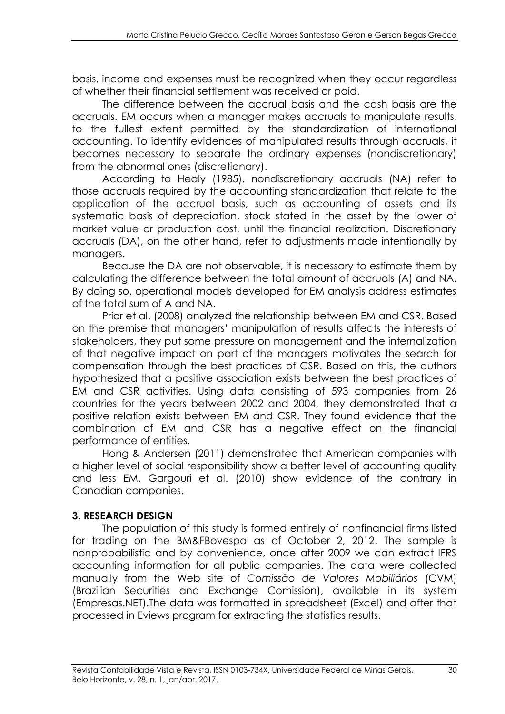basis, income and expenses must be recognized when they occur regardless of whether their financial settlement was received or paid.

The difference between the accrual basis and the cash basis are the accruals. EM occurs when a manager makes accruals to manipulate results, to the fullest extent permitted by the standardization of international accounting. To identify evidences of manipulated results through accruals, it becomes necessary to separate the ordinary expenses (nondiscretionary) from the abnormal ones (discretionary).

According to Healy (1985), nondiscretionary accruals (NA) refer to those accruals required by the accounting standardization that relate to the application of the accrual basis, such as accounting of assets and its systematic basis of depreciation, stock stated in the asset by the lower of market value or production cost, until the financial realization. Discretionary accruals (DA), on the other hand, refer to adjustments made intentionally by managers.

Because the DA are not observable, it is necessary to estimate them by calculating the difference between the total amount of accruals (A) and NA. By doing so, operational models developed for EM analysis address estimates of the total sum of A and NA.

Prior et al. (2008) analyzed the relationship between EM and CSR. Based on the premise that managers' manipulation of results affects the interests of stakeholders, they put some pressure on management and the internalization of that negative impact on part of the managers motivates the search for compensation through the best practices of CSR. Based on this, the authors hypothesized that a positive association exists between the best practices of EM and CSR activities. Using data consisting of 593 companies from 26 countries for the years between 2002 and 2004, they demonstrated that a positive relation exists between EM and CSR. They found evidence that the combination of EM and CSR has a negative effect on the financial performance of entities.

Hong & Andersen (2011) demonstrated that American companies with a higher level of social responsibility show a better level of accounting quality and less EM. Gargouri et al. (2010) show evidence of the contrary in Canadian companies.

#### **3. RESEARCH DESIGN**

The population of this study is formed entirely of nonfinancial firms listed for trading on the BM&FBovespa as of October 2, 2012. The sample is nonprobabilistic and by convenience, once after 2009 we can extract IFRS accounting information for all public companies. The data were collected manually from the Web site of *Comissão de Valores Mobiliários* (CVM) (Brazilian Securities and Exchange Comission), available in its system (Empresas.NET).The data was formatted in spreadsheet (Excel) and after that processed in Eviews program for extracting the statistics results.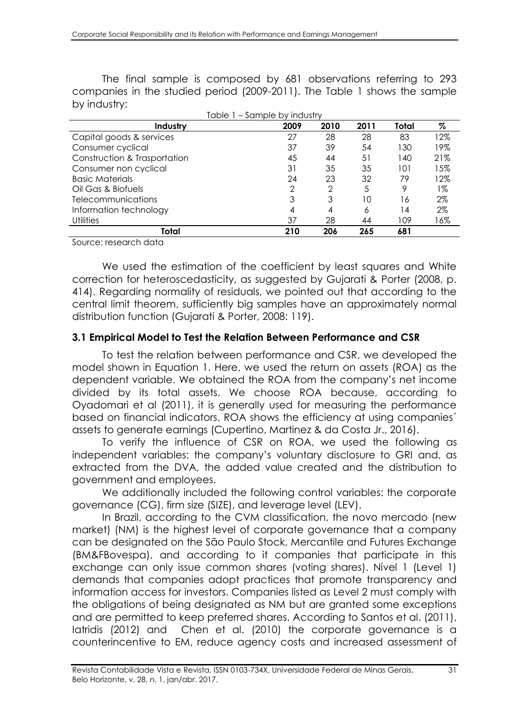The final sample is composed by 681 observations referring to 293 companies in the studied period (2009-2011). The Table 1 shows the sample by industry:

| iable i – sample by Indusity |      |               |      |       |     |  |  |  |  |
|------------------------------|------|---------------|------|-------|-----|--|--|--|--|
| Industry                     | 2009 | 2010          | 2011 | Total | %   |  |  |  |  |
| Capital goods & services     | 27   | 28            | 28   | 83    | 12% |  |  |  |  |
| Consumer cyclical            | 37   | 39            | 54   | 130   | 19% |  |  |  |  |
| Construction & Trasportation | 45   | 44            | 51   | 140   | 21% |  |  |  |  |
| Consumer non cyclical        | 31   | 35            | 35   | 101   | 15% |  |  |  |  |
| <b>Basic Materials</b>       | 24   | 23            | 32   | 79    | 12% |  |  |  |  |
| Oil Gas & Biofuels           | 2    | $\mathcal{P}$ | 5    | 9     | 1%  |  |  |  |  |
| <b>Telecommunications</b>    | 3    | 3             | 10   | 16    | 2%  |  |  |  |  |
| Information technology       | 4    | 4             | 6    | 14    | 2%  |  |  |  |  |
| <b>Utilities</b>             | 37   | 28            | 44   | 109   | 16% |  |  |  |  |
| Total                        | 210  | 206           | 265  | 681   |     |  |  |  |  |

 $T$  industry  $S$  industry industry industry industry  $T$ 

Source: research data

We used the estimation of the coefficient by least squares and White correction for heteroscedasticity, as suggested by Gujarati & Porter (2008, p. 414). Regarding normality of residuals, we pointed out that according to the central limit theorem, sufficiently big samples have an approximately normal distribution function (Gujarati & Porter, 2008: 119).

#### **3.1 Empirical Model to Test the Relation Between Performance and CSR**

To test the relation between performance and CSR, we developed the model shown in Equation 1. Here, we used the return on assets (ROA) as the dependent variable. We obtained the ROA from the company's net income divided by its total assets. We choose ROA because, according to Oyadomari et al (2011), it is generally used for measuring the performance based on financial indicators. ROA shows the efficiency at using companies´ assets to generate earnings (Cupertino, Martinez & da Costa Jr., 2016).

To verify the influence of CSR on ROA, we used the following as independent variables: the company's voluntary disclosure to GRI and, as extracted from the DVA, the added value created and the distribution to government and employees.

We additionally included the following control variables: the corporate governance (CG), firm size (SIZE), and leverage level (LEV).

In Brazil, according to the CVM classification, the novo mercado (new market) (NM) is the highest level of corporate governance that a company can be designated on the São Paulo Stock, Mercantile and Futures Exchange (BM&FBovespa), and according to it companies that participate in this exchange can only issue common shares (voting shares). Nível 1 (Level 1) demands that companies adopt practices that promote transparency and information access for investors. Companies listed as Level 2 must comply with the obligations of being designated as NM but are granted some exceptions and are permitted to keep preferred shares. According to Santos et al. (2011), Iatridis (2012) and Chen et al. (2010) the corporate governance is a counterincentive to EM, reduce agency costs and increased assessment of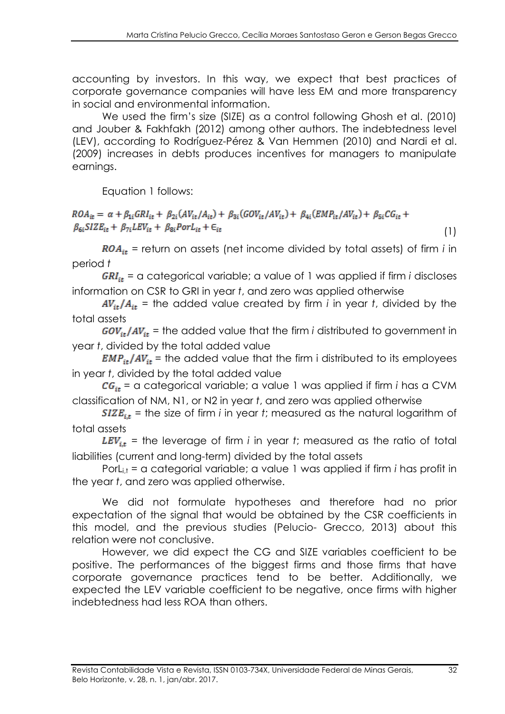accounting by investors. In this way, we expect that best practices of corporate governance companies will have less EM and more transparency in social and environmental information.

We used the firm's size (SIZE) as a control following Ghosh et al. (2010) and Jouber & Fakhfakh (2012) among other authors. The indebtedness level (LEV), according to Rodríguez-Pérez & Van Hemmen (2010) and Nardi et al. (2009) increases in debts produces incentives for managers to manipulate earnings.

Equation 1 follows:

 $ROA_{it} = \alpha + \beta_{1i} GRI_{it} + \beta_{2i} (AV_{it}/A_{it}) + \beta_{3i} (GOV_{it}/AV_{it}) + \beta_{4i} (EMP_{it}/AV_{it}) + \beta_{5i} CG_{it} +$  $\beta_{6i} SIZE_{it} + \beta_{7i} LEV_{it} + \beta_{8i} Port_{it} + \epsilon_{it}$ 

 $ROA_{it}$  = return on assets (net income divided by total assets) of firm *i* in period *t*

 $GRI_{it}$  = a categorical variable; a value of 1 was applied if firm *i* discloses information on CSR to GRI in year *t*, and zero was applied otherwise

 $AV_{it}/A_{it}$  = the added value created by firm *i* in year *t*, divided by the total assets

 $GOV_{it}/AV_{it}$  = the added value that the firm *i* distributed to government in year *t*, divided by the total added value

 $EMP_{it}/AV_{it}$  = the added value that the firm i distributed to its employees in year *t*, divided by the total added value

 $CG_{it}$  = a categorical variable; a value 1 was applied if firm *i* has a CVM classification of NM, N1, or N2 in year *t*, and zero was applied otherwise

 $SIZE_{it}$  = the size of firm *i* in year *t*; measured as the natural logarithm of total assets

 $LEV_{it}$  = the leverage of firm *i* in year *t*; measured as the ratio of total liabilities (current and long-term) divided by the total assets

PorL<sub>i,t</sub> = a categorial variable; a value 1 was applied if firm *i* has profit in the year *t*, and zero was applied otherwise.

We did not formulate hypotheses and therefore had no prior expectation of the signal that would be obtained by the CSR coefficients in this model, and the previous studies (Pelucio- Grecco, 2013) about this relation were not conclusive.

However, we did expect the CG and SIZE variables coefficient to be positive. The performances of the biggest firms and those firms that have corporate governance practices tend to be better. Additionally, we expected the LEV variable coefficient to be negative, once firms with higher indebtedness had less ROA than others.

(1)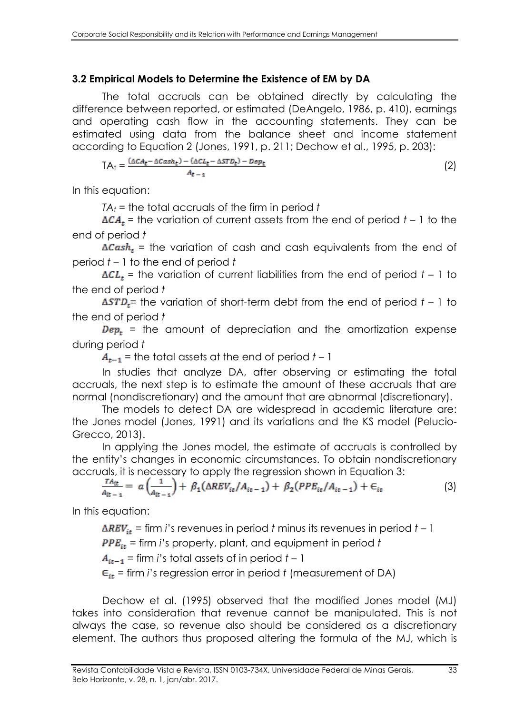#### **3.2 Empirical Models to Determine the Existence of EM by DA**

The total accruals can be obtained directly by calculating the difference between reported, or estimated (DeAngelo, 1986, p. 410), earnings and operating cash flow in the accounting statements. They can be estimated using data from the balance sheet and income statement according to Equation 2 (Jones, 1991, p. 211; Dechow et al., 1995, p. 203):

$$
TA_t = \frac{(\Delta CA_t - \Delta Cash_t) - (\Delta CL_t - \Delta STD_t) - Dep_t}{A_{t-1}}
$$
\n(2)

In this equation:

*TA<sup>t</sup>* = the total accruals of the firm in period *t* 

 $\Delta CA_t$  = the variation of current assets from the end of period *t* – 1 to the end of period *t*

 $\Delta Cash_t$  = the variation of cash and cash equivalents from the end of period *t* – 1 to the end of period *t*

 $\Delta CL_t$  = the variation of current liabilities from the end of period  $t - 1$  to the end of period *t*

 $\Delta STD_t$ = the variation of short-term debt from the end of period  $t - 1$  to the end of period *t*

 $Dep<sub>t</sub>$  = the amount of depreciation and the amortization expense during period *t*

 $A_{t-1}$  = the total assets at the end of period  $t-1$ 

In studies that analyze DA, after observing or estimating the total accruals, the next step is to estimate the amount of these accruals that are normal (nondiscretionary) and the amount that are abnormal (discretionary).

The models to detect DA are widespread in academic literature are: the Jones model (Jones, 1991) and its variations and the KS model (Pelucio-Grecco, 2013).

In applying the Jones model, the estimate of accruals is controlled by the entity's changes in economic circumstances. To obtain nondiscretionary accruals, it is necessary to apply the regression shown in Equation 3:

$$
\frac{T A_{it}}{A_{it-1}} = a \left( \frac{1}{A_{it-1}} \right) + \beta_1 (\Delta REV_{it}/A_{it-1}) + \beta_2 (PPE_{it}/A_{it-1}) + \epsilon_{it}
$$
\n(3)

In this equation:

 $\Delta REV_{it}$  = firm *i*'s revenues in period *t* minus its revenues in period *t* – 1

= firm *i*'s property, plant, and equipment in period *t*

 $A_{it-1}$  = firm *i*'s total assets of in period  $t - 1$ 

 $\epsilon_{it}$  = firm *i*'s regression error in period *t* (measurement of DA)

Dechow et al. (1995) observed that the modified Jones model (MJ) takes into consideration that revenue cannot be manipulated. This is not always the case, so revenue also should be considered as a discretionary element. The authors thus proposed altering the formula of the MJ, which is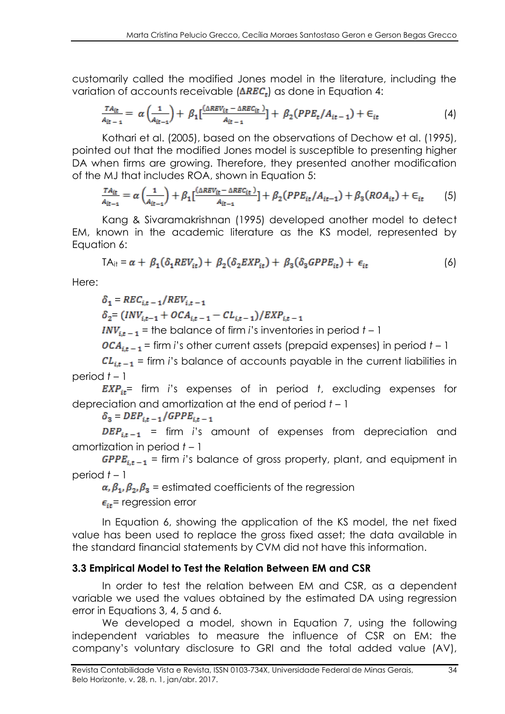customarily called the modified Jones model in the literature, including the variation of accounts receivable  $(\Delta REC_r)$  as done in Equation 4:

$$
\frac{TA_{it}}{A_{it-1}} = \alpha \left(\frac{1}{A_{it-1}}\right) + \beta_1 \left[\frac{(\Delta REV_{it} - \Delta REC_{it})}{A_{it-1}}\right] + \beta_2 (PPE_t/A_{it-1}) + \epsilon_{it} \tag{4}
$$

Kothari et al. (2005), based on the observations of Dechow et al. (1995), pointed out that the modified Jones model is susceptible to presenting higher DA when firms are growing. Therefore, they presented another modification of the MJ that includes ROA, shown in Equation 5:

$$
\frac{TA_{it}}{A_{it-1}} = \alpha \left(\frac{1}{A_{it-1}}\right) + \beta_1 \left[\frac{(\Delta REV_{it} - \Delta REC_{it})}{A_{it-1}}\right] + \beta_2 (PPE_{it}/A_{it-1}) + \beta_3 (ROA_{it}) + \epsilon_{it} \tag{5}
$$

Kang & Sivaramakrishnan (1995) developed another model to detect EM, known in the academic literature as the KS model, represented by Equation 6:

$$
TA_{it} = \alpha + \beta_1(\delta_1 REV_{it}) + \beta_2(\delta_2EXP_{it}) + \beta_3(\delta_3GPPE_{it}) + \epsilon_{it}
$$
 (6)

Here:

$$
\delta_1 = REC_{i,t-1}/REV_{i,t-1}
$$

 $\delta_2 = (INV_{it-1} + OCA_{it-1} - CL_{it-1})/EXP_{it-1}$ 

 $INV_{it-1}$  = the balance of firm *i*'s inventories in period  $t - 1$ 

 $OCA_{it-1}$  = firm *i*'s other current assets (prepaid expenses) in period  $t - 1$ 

 $CL_{it-1}$  = firm *i*'s balance of accounts payable in the current liabilities in period *t* – 1

 $EXP_{it}$  firm *i*'s expenses of in period *t*, excluding expenses for depreciation and amortization at the end of period *t* – 1

 $\delta_3 = DEP_{i,t-1}/GPE_{i,t-1}$ 

 $DEP_{i,t-1}$  = firm *i*'s amount of expenses from depreciation and amortization in period *t* – 1

 $GPPE_{i,t-1}$  = firm *i*'s balance of gross property, plant, and equipment in period *t* – 1

 $\alpha, \beta_1, \beta_2, \beta_3$  = estimated coefficients of the regression

 $\epsilon_{i\star}$  regression error

In Equation 6, showing the application of the KS model, the net fixed value has been used to replace the gross fixed asset; the data available in the standard financial statements by CVM did not have this information.

#### **3.3 Empirical Model to Test the Relation Between EM and CSR**

In order to test the relation between EM and CSR, as a dependent variable we used the values obtained by the estimated DA using regression error in Equations 3, 4, 5 and 6.

We developed a model, shown in Equation 7, using the following independent variables to measure the influence of CSR on EM: the company's voluntary disclosure to GRI and the total added value (AV),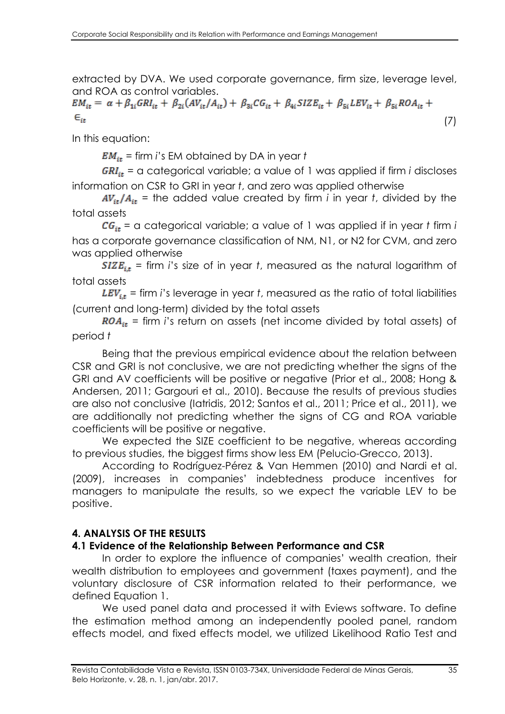extracted by DVA. We used corporate governance, firm size, leverage level,

and ROA as control variables.<br>  $EM_{it} = \alpha + \beta_{1i} GRI_{it} + \beta_{2i} (AV_{it}/A_{it}) + \beta_{3i} CG_{it} + \beta_{4i} SIZE_{it} + \beta_{5i} LEV_{it} + \beta_{5i} ROA_{it} +$  $\epsilon_{ii}$ (7)

In this equation:

= firm *i*'s EM obtained by DA in year *t*

 $GRI_{it}$  = a categorical variable; a value of 1 was applied if firm *i* discloses information on CSR to GRI in year *t*, and zero was applied otherwise

 $AV_{it}/A_{it}$  = the added value created by firm *i* in year *t*, divided by the total assets

 $CG_{it}$  = a categorical variable; a value of 1 was applied if in year *t* firm *i* has a corporate governance classification of NM, N1, or N2 for CVM, and zero was applied otherwise

 $SIZE_{it}$  = firm *i*'s size of in year *t*, measured as the natural logarithm of total assets

 $LEV_{i,t}$  = firm *i*'s leverage in year *t*, measured as the ratio of total liabilities (current and long-term) divided by the total assets

 $ROA_{it}$  = firm *i*'s return on assets (net income divided by total assets) of period *t*

Being that the previous empirical evidence about the relation between CSR and GRI is not conclusive, we are not predicting whether the signs of the GRI and AV coefficients will be positive or negative (Prior et al., 2008; Hong & Andersen, 2011; Gargouri et al., 2010). Because the results of previous studies are also not conclusive (Iatridis, 2012; Santos et al., 2011; Price et al., 2011), we are additionally not predicting whether the signs of CG and ROA variable coefficients will be positive or negative.

We expected the SIZE coefficient to be negative, whereas according to previous studies, the biggest firms show less EM (Pelucio-Grecco, 2013).

According to Rodríguez-Pérez & Van Hemmen (2010) and Nardi et al. (2009), increases in companies' indebtedness produce incentives for managers to manipulate the results, so we expect the variable LEV to be positive.

## **4. ANALYSIS OF THE RESULTS**

#### **4.1 Evidence of the Relationship Between Performance and CSR**

In order to explore the influence of companies' wealth creation, their wealth distribution to employees and government (taxes payment), and the voluntary disclosure of CSR information related to their performance, we defined Equation 1.

We used panel data and processed it with Eviews software. To define the estimation method among an independently pooled panel, random effects model, and fixed effects model, we utilized Likelihood Ratio Test and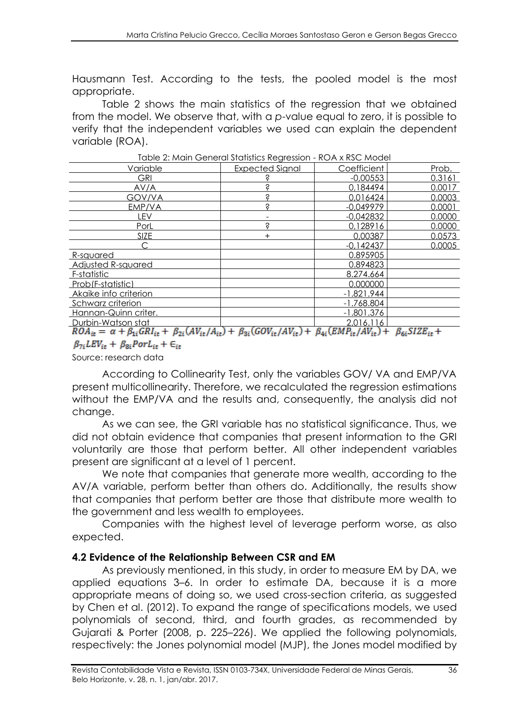Hausmann Test. According to the tests, the pooled model is the most appropriate.

Table 2 shows the main statistics of the regression that we obtained from the model. We observe that, with a *p*-value equal to zero, it is possible to verify that the independent variables we used can explain the dependent variable (ROA).

|                                                        | $\sim$ 2.1119.11 $\sim$ 3.1019.1019.1000 110.91 0001011 |                                |                  |
|--------------------------------------------------------|---------------------------------------------------------|--------------------------------|------------------|
| Variable                                               | <b>Expected Signal</b>                                  | Coefficient                    | Prob.            |
| <b>GRI</b>                                             |                                                         | $-0,00553$                     | 0.3161           |
| AV/A                                                   | Ŝ                                                       | 0,184494                       | 0.0017           |
| GOV/VA                                                 | Ŝ                                                       | 0,016424                       | 0.0003           |
| EMP/VA                                                 | Ś                                                       | $-0.049979$                    | 0.0001           |
| lev                                                    |                                                         | $-0.042832$                    | 0.0000           |
| PorL                                                   | Ś                                                       | 0,128916                       | 0.0000           |
| SIZE                                                   | $\pm$                                                   | 0.00387                        | 0.0573           |
|                                                        |                                                         | $-0.142437$                    | 0.0005           |
| R-sauared                                              |                                                         | 0.895905                       |                  |
| <b>Adjusted R-squared</b>                              |                                                         | 0.894823                       |                  |
| F-statistic                                            |                                                         | 8.274.664                      |                  |
| Prob(F-statistic)                                      |                                                         | 0.000000                       |                  |
| Akaike info criterion                                  |                                                         | $-1.821.944$                   |                  |
| Schwarz criterion                                      |                                                         | $-1.768.804$                   |                  |
| Hannan-Quinn criter.                                   |                                                         | $-1.801.376$                   |                  |
| Durbin-Watson stat                                     |                                                         | 2.016.116                      |                  |
| A U<br>$D \cap A = \alpha + R$ CDI<br>$\perp$ R<br>1 Л | $\perp$ R<br><b>COV</b><br>1117                         | <b>FMD</b><br>R<br><b>LATE</b> | <b>C17F</b><br>R |

Table 2: Main General Statistics Regression - ROA x RSC Model

 $ROA_{it} = \alpha + \beta_{1i} GRI_{it} + \beta_{2i} (AV_{it}/A_{it}) + \beta_{3i} (GOV_{it}/AV_{it}) + \beta_{4i} (EMP_{it}/AV_{it}) + \beta_{6i} SIZE_{it}$  $\beta_{7i}LEV_{it} + \beta_{8i} Port_{it} + \epsilon_{it}$ 

Source: research data

According to Collinearity Test, only the variables GOV/ VA and EMP/VA present multicollinearity. Therefore, we recalculated the regression estimations without the EMP/VA and the results and, consequently, the analysis did not change.

As we can see, the GRI variable has no statistical significance. Thus, we did not obtain evidence that companies that present information to the GRI voluntarily are those that perform better. All other independent variables present are significant at a level of 1 percent.

We note that companies that generate more wealth, according to the AV/A variable, perform better than others do. Additionally, the results show that companies that perform better are those that distribute more wealth to the government and less wealth to employees.

Companies with the highest level of leverage perform worse, as also expected.

#### **4.2 Evidence of the Relationship Between CSR and EM**

As previously mentioned, in this study, in order to measure EM by DA, we applied equations 3–6. In order to estimate DA, because it is a more appropriate means of doing so, we used cross-section criteria, as suggested by Chen et al. (2012). To expand the range of specifications models, we used polynomials of second, third, and fourth grades, as recommended by Gujarati & Porter (2008, p. 225–226). We applied the following polynomials, respectively: the Jones polynomial model (MJP), the Jones model modified by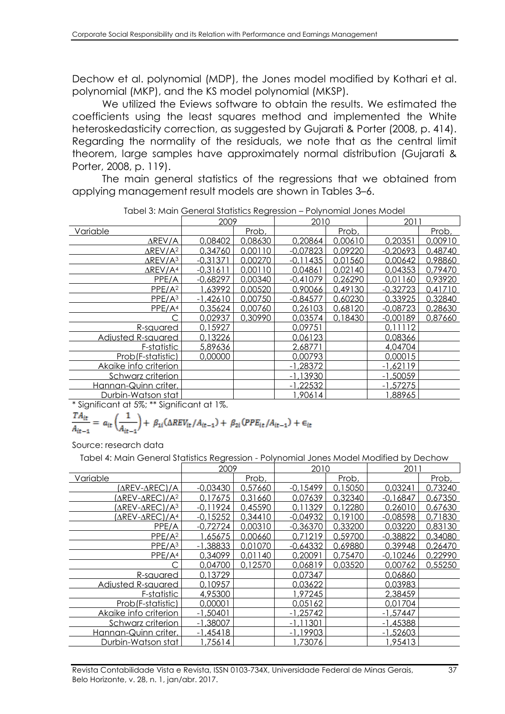Dechow et al. polynomial (MDP), the Jones model modified by Kothari et al. polynomial (MKP), and the KS model polynomial (MKSP).

We utilized the Eviews software to obtain the results. We estimated the coefficients using the least squares method and implemented the White heteroskedasticity correction, as suggested by Gujarati & Porter (2008, p. 414). Regarding the normality of the residuals, we note that as the central limit theorem, large samples have approximately normal distribution (Gujarati & Porter, 2008, p. 119).

The main general statistics of the regressions that we obtained from applying management result models are shown in Tables 3–6.

|                             | 2009       |         | 2010       |         | 2011       |         |
|-----------------------------|------------|---------|------------|---------|------------|---------|
| Variable                    |            | Prob,   |            | Prob,   |            | Prob.   |
| $\Delta$ REV/A              | 0,08402    | 0,08630 | 0,20864    | 0.00610 | 0,20351    | 0,00910 |
| $\Delta$ REV/A <sup>2</sup> | 0,34760    | 0,00110 | $-0.07823$ | 0,09220 | $-0,20693$ | 0,48740 |
| $\Delta$ REV/A <sup>3</sup> | $-0.31371$ | 0.00270 | $-0.11435$ | 0,01560 | 0,00642    | 0,98860 |
| $\Delta$ REV/A <sup>4</sup> | $-0,31611$ | 0.00110 | 0,04861    | 0,02140 | 0,04353    | 0,79470 |
| PPE/A                       | $-0,68297$ | 0,00340 | $-0,41079$ | 0,26290 | 0,01160    | 0,93920 |
| PPE/A <sup>2</sup>          | 1,63992    | 0,00520 | 0,90066    | 0,49130 | $-0,32723$ | 0,41710 |
| PPE/A <sup>3</sup>          | $-1,42610$ | 0,00750 | $-0.84577$ | 0,60230 | 0,33925    | 0,32840 |
| PPE/A <sup>4</sup>          | 0,35624    | 0,00760 | 0,26103    | 0,68120 | $-0.08723$ | 0,28630 |
|                             | 0,02937    | 0,30990 | 0,03574    | 0,18430 | $-0,00189$ | 0,87660 |
| R-squared                   | 0.15927    |         | 0.09751    |         | 0.11112    |         |
| <b>Adjusted R-squared</b>   | 0,13226    |         | 0,06123    |         | 0,08366    |         |
| F-statistic                 | 5,89636    |         | 2,68771    |         | 4,04704    |         |
| Prob(F-statistic)           | 0,00000    |         | 0.00793    |         | 0,00015    |         |
| Akaike info criterion       |            |         | $-1.28372$ |         | $-1,62119$ |         |
| Schwarz criterion           |            |         | $-1,13930$ |         | $-1.50059$ |         |
| Hannan-Quinn criter.        |            |         | $-1,22532$ |         | $-1,57275$ |         |
| Durbin-Watson stat          |            |         | 90614,     |         | 1,88965    |         |

Tabel 3: Main General Statistics Regression – Polynomial Jones Model

\* Significant at 5%; \*\* Significant at 1%.

$$
\frac{T A_{it}}{A_{it-1}} = a_{it} \left( \frac{1}{A_{it-1}} \right) + \beta_{1i} (\Delta REV_{it}/A_{it-1}) + \beta_{2i} (PPE_{it}/A_{it-1}) + \epsilon_{it}
$$

Source: research data

Tabel 4: Main General Statistics Regression - Polynomial Jones Model Modified by Dechow

|                            | 2009       |         | 2010        |         | 2011       |         |
|----------------------------|------------|---------|-------------|---------|------------|---------|
| Variable                   |            | Prob,   |             | Prob,   |            | Prob,   |
| (∆REV-∆REC)/A              | $-0,03430$ | 0,57660 | $-0,15499$  | 0,15050 | 0,03241    | 0,73240 |
| AREV-AREC)/A <sup>2</sup>  | 0.17675    | 0.31660 | 0.07639     | 0.32340 | $-0,16847$ | 0,67350 |
| (AREV-AREC)/A <sup>3</sup> | $-0.11924$ | 0.45590 | 0.11329     | 0.12280 | 0.26010    | 0,67630 |
| (∆REV-∆REC)/A <sup>4</sup> | $-0.15252$ | 0,34410 | $-0.04932$  | 0,19100 | $-0.08598$ | 0,71830 |
| PPE/A                      | $-0.72724$ | 0,00310 | $-0,36370$  | 0,33200 | 0.03220    | 0,83130 |
| PPE/A <sup>2</sup>         | 1,65675    | 0,00660 | 0.71219     | 0.59700 | $-0.38822$ | 0,34080 |
| PPE/A <sup>3</sup>         | $-1,38833$ | 0.01070 | $-0.64332$  | 0.69880 | 0.39948    | 0.26470 |
| PPE/A <sup>4</sup>         | 0,34099    | 0,01140 | 0,20091     | 0,75470 | $-0.10246$ | 0,22990 |
|                            | 0,04700    | 0.12570 | 0.06819     | 0,03520 | 0,00762    | 0,55250 |
| R-squared                  | 0.13729    |         | 0,07347     |         | 0,06860    |         |
| Adjusted R-squared         | 0,10957    |         | 0,03622     |         | 0,03983    |         |
| F-statistic                | 4,95300    |         | 1,97245     |         | 2,38459    |         |
| Prob(F-statistic)          | 0.00001    |         | 0.05162     |         | 0.01704    |         |
| Akaike info criterion      | $-1,50401$ |         | $-1.25742$  |         | $-1.57447$ |         |
| Schwarz criterion          | $-1,38007$ |         | $-1, 11301$ |         | $-1,45388$ |         |
| Hannan-Quinn criter.       | $-1,45418$ |         | $-1,19903$  |         | $-1,52603$ |         |
| Durbin-Watson stat         | ,75614     |         | 1.73076     |         | 1.95413    |         |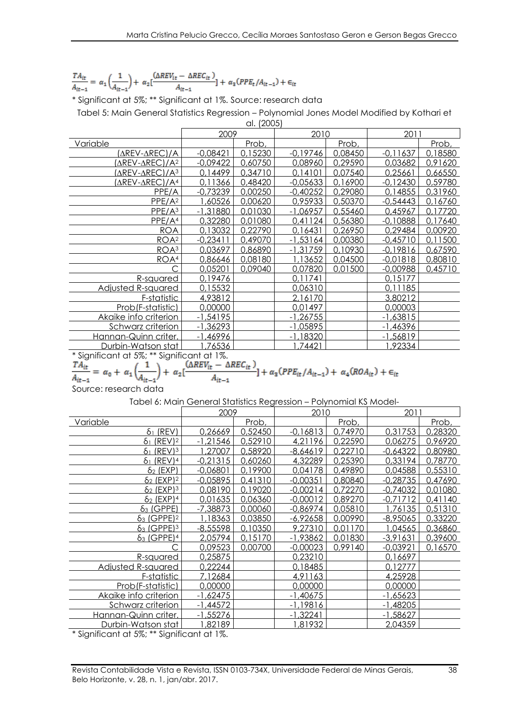$$
\frac{TA_{it}}{A_{it-1}} = \; \alpha_1 \left( \frac{1}{A_{it-1}} \right) + \; \alpha_2 [\frac{(\Delta REV_{it} - \Delta REC_{it})}{A_{it-1}}] \; + \; \alpha_3 (PPE_t/A_{it-1}) + \in_{it}
$$

\* Significant at 5%; \*\* Significant at 1%. Source: research data

Tabel 5: Main General Statistics Regression – Polynomial Jones Model Modified by Kothari et

al. (2005) 2009 2010 2011 Variable  $-0.08421$ Prob,  $-0.19746$ Prob,  $-0.11637$ Prob, (∆REV-∆REC)/A -0,08421 0,15230 -0,19746 0,08450 -0,11637 0,18580 (∆REV-∆REC)/A<sup>2</sup> -0,09422 0,60750 0,08960 0,29590 0,03682 0,91620 (∆REV-∆REC)/A<sup>3</sup> 0,14499 0,34710 0,14101 0,07540 0,25661 0,66550 (∆REV-∆REC)/A4 0,11366 0,48420 -0,05633 0,16900 -0,12430 0,59780 PPE/A  $-0.73239$  0.00250  $-0.40252$  0.29080 0.14855 0.31960 PPE/A<sup>2</sup> 1,60526 0,00620 0,95933 0,50370 -0,54443 0,16760 PPE/A<sup>3</sup> -1,31880 0,01030 -1,06957 0,55460 0,45967 0,17720 PPE/A<sup>4</sup> 0,32280 0,01080 0,41124 0,56380 -0,10888 0,17640 ROA 0,13032 0,22790 0,16431 0,26950 0,29484 0,00920 ROA<sup>2</sup> -0,23411 0,49070 -1,53164 0,00380 -0,45710 0,11500 <u>ROA3 | 0,03697 | 0,86890 | -1,31759 | 0,10930 | -0,19816 | 0,67590</u> <u>ROA4 0,86646 0,08180 1,13652 0,04500 -0,01818 0,80810</u> C 0,05201 0,09040 0,07820 0,01500 -0,00988 0,45710 R-squared 0,19476 0,11741 0,11741 0,15177 Adjusted R-squared | 0,15532 | 0,06310 | 0,11185 F-statistic 4,93812 2,16170 3,80212 Prob(F-statistic) 0,00000 0,01497 0,00003 Akaike info criterion | -1,54195 | -1,26755 | -1,63815 Schwarz criterion | -1,36293 | -1,05895 | -1,46396 Hannan-Quinn criter. | -1,46996 | -1,18320 | -1,56819 <u>Durbin-Watson stat | 1,76536 | 1,74421 | 1,92334</u>

\* Significant at 5%; \*\* Significant at 1%.

 $+ \alpha_2$ [

$$
\Delta REV_{it} - \Delta REC_{it}) + \alpha_{2}(PPE_{it}/A_{it-1}) + \alpha_{i}
$$

$$
\frac{1}{A_{it-1}} + \alpha_3 (PPE_{it}/A_{it-1}) + \alpha_4 (ROA_{it}) + \epsilon_{it}
$$

 $= \alpha_0 + \alpha_1$  $A_{ir-1}$ Source: research data

Tabel 6: Main General Statistics Regression – Polynomial KS Model-

|                                    | 2009       |         | 2010       |         | 2011       |         |
|------------------------------------|------------|---------|------------|---------|------------|---------|
| <u>Variable</u>                    |            | Prob,   |            | Prob,   |            | Prob,   |
| $\delta_1$ (REV)                   | 0,26669    | 0,52450 | $-0,16813$ | 0,74970 | 0,31753    | 0,28320 |
| $(REV)$ <sup>2</sup><br>$\delta_1$ | $-1,21546$ | 0,52910 | 4,21196    | 0,22590 | 0,06275    | 0,96920 |
| $(REV)$ <sup>3</sup><br>δ1         | .27007     | 0,58920 | $-8,64619$ | 0.22710 | $-0,64322$ | 0,80980 |
| $61$ (REV) <sup>4</sup>            | $-0,21315$ | 0,60260 | 4,32289    | 0,25390 | 0,33194    | 0,78770 |
| $\delta_2$ (EXP)                   | $-0,06801$ | 0,19900 | 0,04178    | 0,49890 | 0,04588    | 0,55310 |
| $62$ (EXP) <sup>2</sup>            | $-0.05895$ | 0.41310 | $-0.00351$ | 0,80840 | $-0.28735$ | 0,47690 |
| $\delta_2$ (EXP) <sup>3</sup>      | 0,08190    | 0,19020 | $-0.00214$ | 0.72270 | $-0,74032$ | 0,01080 |
| $\delta_2$ (EXP) <sup>4</sup>      | 0,01635    | 0,06360 | $-0,00012$ | 0,89270 | $-0,71712$ | 0,41140 |
| $63$ (GPPE)                        | $-7,38873$ | 0,00060 | $-0,86974$ | 0,05810 | 1,76135    | 0,51310 |
| $63$ (GPPE) <sup>2</sup>           | 1,18363    | 0,03850 | $-6,92658$ | 0,00990 | -8,95065   | 0,33220 |
| $63$ (GPPE) <sup>3</sup>           | $-8,55598$ | 0,10350 | 9,27310    | 0,01170 | 1,04565    | 0,36860 |
| $\delta_3$ (GPPE) <sup>4</sup>     | 2,05794    | 0,15170 | $-1,93862$ | 0,01830 | $-3,91631$ | 0,39600 |
|                                    | 0,09523    | 0,00700 | $-0,00023$ | 0,99140 | $-0.03921$ | 0,16570 |
| R-sauared                          | 0,25875    |         | 0.23210    |         | 0,16697    |         |
| Adjusted R-squared                 | 0,22244    |         | 0,18485    |         | 0,12777    |         |
| F-statistic                        | 7,12684    |         | 4.91163    |         | 4,25928    |         |
| Prob(F-statistic)                  | 0,00000    |         | 0,00000    |         | 0,00000    |         |
| Akaike info criterion              | $-1,62475$ |         | $-1,40675$ |         | $-1,65623$ |         |
| Schwarz criterion                  | $-1,44572$ |         | $-1,19816$ |         | $-1,48205$ |         |
| Hannan-Quinn criter.               | $-1,55276$ |         | $-1.32241$ |         | $-1,58627$ |         |
| <u>Durbin-Watson stat</u>          | 82189,     |         | 1,81932    |         | 2,04359    |         |

\* Significant at 5%; \*\* Significant at 1%.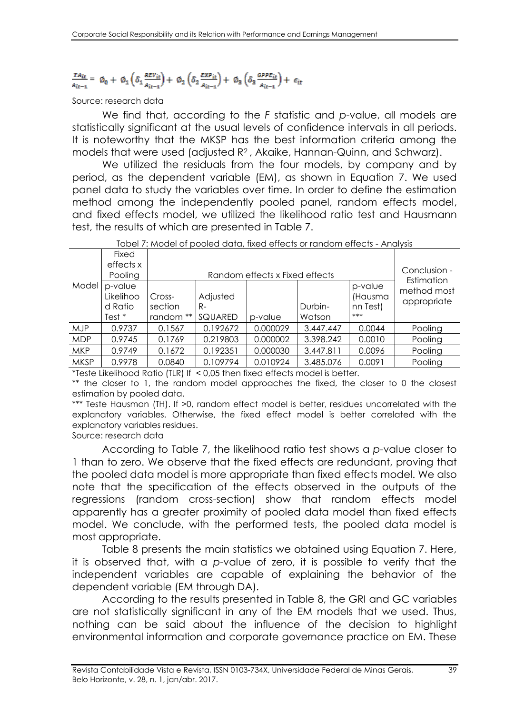# $\frac{TA_{it}}{A_{it-1}} = \phi_0 + \phi_1 \left( \delta_1 \frac{REV_{it}}{A_{it-1}} \right) + \phi_2 \left( \delta_2 \frac{EXP_{it}}{A_{it-1}} \right) + \phi_3 \left( \delta_3 \frac{GPPE_{it}}{A_{it-1}} \right) + \epsilon_{it}$

#### Source: research data

We find that, according to the *F* statistic and *p*-value, all models are statistically significant at the usual levels of confidence intervals in all periods. It is noteworthy that the MKSP has the best information criteria among the models that were used (adjusted R2 , Akaike, Hannan-Quinn, and Schwarz).

We utilized the residuals from the four models, by company and by period, as the dependent variable (EM), as shown in Equation 7. We used panel data to study the variables over time. In order to define the estimation method among the independently pooled panel, random effects model, and fixed effects model, we utilized the likelihood ratio test and Hausmann test, the results of which are presented in Table 7.

| <u>1900 / MOGO OF DOOICQ GOIG, IMCG CHCCB OFTGHQOITECHCCB - ATIGIZIS</u> |           |           |                                |          |           |          |                           |  |  |  |
|--------------------------------------------------------------------------|-----------|-----------|--------------------------------|----------|-----------|----------|---------------------------|--|--|--|
|                                                                          | Fixed     |           |                                |          |           |          |                           |  |  |  |
|                                                                          | effects x |           |                                |          |           |          | Conclusion -              |  |  |  |
|                                                                          | Pooling   |           | Random effects x Fixed effects |          |           |          |                           |  |  |  |
| Model                                                                    | p-value   |           |                                |          |           | p-value  | Estimation<br>method most |  |  |  |
|                                                                          | Likelihoo | Cross-    | Adjusted                       |          |           | (Hausma  |                           |  |  |  |
|                                                                          | d Ratio   | section   | R-                             |          | Durbin-   | nn Test) | appropriate               |  |  |  |
|                                                                          | Test *    | random ** | SQUARED                        | p-value  | Watson    | ***      |                           |  |  |  |
| <b>MJP</b>                                                               | 0.9737    | 0.1567    | 0.192672                       | 0.000029 | 3.447.447 | 0.0044   | Pooling                   |  |  |  |
| <b>MDP</b>                                                               | 0.9745    | 0.1769    | 0.219803                       | 0.000002 | 3.398.242 | 0.0010   | Pooling                   |  |  |  |
| <b>MKP</b>                                                               | 0.9749    | 0.1672    | 0.192351                       | 0.000030 | 3.447.811 | 0.0096   | Pooling                   |  |  |  |
| <b>MKSP</b>                                                              | 0.9978    | 0.0840    | 0.109794                       | 0.010924 | 3.485.076 | 0.0091   | Pooling                   |  |  |  |

Tabel 7: Model of pooled data, fixed effects or random effects - Analysis

\*Teste Likelihood Ratio (TLR) If < 0,05 then fixed effects model is better.

\*\* the closer to 1, the random model approaches the fixed, the closer to 0 the closest estimation by pooled data.

\*\*\* Teste Hausman (TH). If >0, random effect model is better, residues uncorrelated with the explanatory variables. Otherwise, the fixed effect model is better correlated with the explanatory variables residues.

Source: research data

According to Table 7, the likelihood ratio test shows a *p*-value closer to 1 than to zero. We observe that the fixed effects are redundant, proving that the pooled data model is more appropriate than fixed effects model. We also note that the specification of the effects observed in the outputs of the regressions (random cross-section) show that random effects model apparently has a greater proximity of pooled data model than fixed effects model. We conclude, with the performed tests, the pooled data model is most appropriate.

Table 8 presents the main statistics we obtained using Equation 7. Here, it is observed that, with a *p*-value of zero, it is possible to verify that the independent variables are capable of explaining the behavior of the dependent variable (EM through DA).

According to the results presented in Table 8, the GRI and GC variables are not statistically significant in any of the EM models that we used. Thus, nothing can be said about the influence of the decision to highlight environmental information and corporate governance practice on EM. These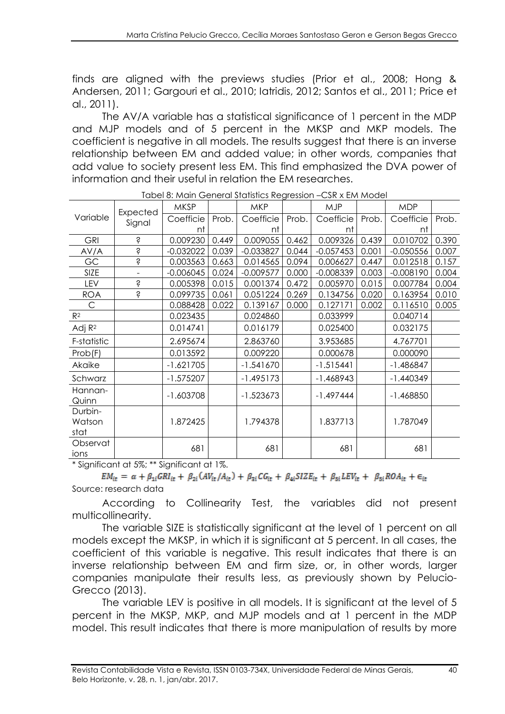finds are aligned with the previews studies (Prior et al., 2008; Hong & Andersen, 2011; Gargouri et al., 2010; Iatridis, 2012; Santos et al., 2011; Price et al., 2011).

The AV/A variable has a statistical significance of 1 percent in the MDP and MJP models and of 5 percent in the MKSP and MKP models. The coefficient is negative in all models. The results suggest that there is an inverse relationship between EM and added value; in other words, companies that add value to society present less EM. This find emphasized the DVA power of information and their useful in relation the EM researches.

|                           |                    | raporo, main conorarorammos nogrossion - con A Entrinoaci<br><b>MKSP</b> |       | <b>MKP</b>  |       | <b>MJP</b>  |       | <b>MDP</b>  |       |
|---------------------------|--------------------|--------------------------------------------------------------------------|-------|-------------|-------|-------------|-------|-------------|-------|
| Variable                  | Expected<br>Signal | Coefficie                                                                | Prob. | Coefficie   | Prob. | Coefficie   | Prob. | Coefficie   | Prob. |
|                           |                    | nt                                                                       |       | nt          |       | nt          |       | nt          |       |
| <b>GRI</b>                | Ŝ                  | 0.009230                                                                 | 0.449 | 0.009055    | 0.462 | 0.009326    | 0.439 | 0.010702    | 0.390 |
| AV/A                      | Ś                  | $-0.032022$                                                              | 0.039 | $-0.033827$ | 0.044 | $-0.057453$ | 0.001 | $-0.050556$ | 0.007 |
| GC                        | Ś                  | 0.003563                                                                 | 0.663 | 0.014565    | 0.094 | 0.006627    | 0.447 | 0.012518    | 0.157 |
| SIZE                      |                    | $-0.006045$                                                              | 0.024 | $-0.009577$ | 0.000 | $-0.008339$ | 0.003 | $-0.008190$ | 0.004 |
| LEV                       | Ŝ                  | 0.005398                                                                 | 0.015 | 0.001374    | 0.472 | 0.005970    | 0.015 | 0.007784    | 0.004 |
| <b>ROA</b>                | Ś                  | 0.099735                                                                 | 0.061 | 0.051224    | 0.269 | 0.134756    | 0.020 | 0.163954    | 0.010 |
| $\mathsf{C}$              |                    | 0.088428                                                                 | 0.022 | 0.139167    | 0.000 | 0.127171    | 0.002 | 0.116510    | 0.005 |
| R <sup>2</sup>            |                    | 0.023435                                                                 |       | 0.024860    |       | 0.033999    |       | 0.040714    |       |
| Adj $R^2$                 |                    | 0.014741                                                                 |       | 0.016179    |       | 0.025400    |       | 0.032175    |       |
| F-statistic               |                    | 2.695674                                                                 |       | 2.863760    |       | 3.953685    |       | 4.767701    |       |
| Prob(F)                   |                    | 0.013592                                                                 |       | 0.009220    |       | 0.000678    |       | 0.000090    |       |
| Akaike                    |                    | $-1.621705$                                                              |       | $-1.541670$ |       | $-1.515441$ |       | $-1.486847$ |       |
| Schwarz                   |                    | $-1.575207$                                                              |       | $-1.495173$ |       | $-1.468943$ |       | $-1.440349$ |       |
| Hannan-<br>Quinn          |                    | $-1.603708$                                                              |       | $-1.523673$ |       | $-1.497444$ |       | $-1.468850$ |       |
| Durbin-<br>Watson<br>stat |                    | 1.872425                                                                 |       | 1.794378    |       | 1.837713    |       | 1.787049    |       |
| Observat<br>ions          |                    | 681                                                                      |       | 681         |       | 681         |       | 681         |       |

Tabel 8: Main General Statistics Regression –CSR x EM Model

\* Significant at 5%; \*\* Significant at 1%.

 $EM_{it} = \alpha + \beta_{1i} GRI_{it} + \beta_{2i} (AV_{it}/A_{it}) + \beta_{3i} CG_{it} + \beta_{4i} SIZE_{it} + \beta_{5i} LEV_{it} + \beta_{5i} ROA_{it} + \epsilon_{it}$ Source: research data

According to Collinearity Test, the variables did not present multicollinearity.

The variable SIZE is statistically significant at the level of 1 percent on all models except the MKSP, in which it is significant at 5 percent. In all cases, the coefficient of this variable is negative. This result indicates that there is an inverse relationship between EM and firm size, or, in other words, larger companies manipulate their results less, as previously shown by Pelucio-Grecco (2013).

The variable LEV is positive in all models. It is significant at the level of 5 percent in the MKSP, MKP, and MJP models and at 1 percent in the MDP model. This result indicates that there is more manipulation of results by more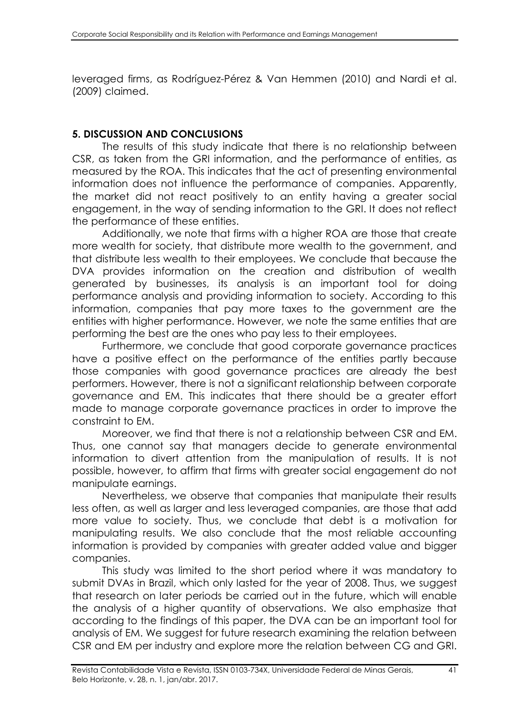leveraged firms, as Rodríguez-Pérez & Van Hemmen (2010) and Nardi et al. (2009) claimed.

#### **5. DISCUSSION AND CONCLUSIONS**

The results of this study indicate that there is no relationship between CSR, as taken from the GRI information, and the performance of entities, as measured by the ROA. This indicates that the act of presenting environmental information does not influence the performance of companies. Apparently, the market did not react positively to an entity having a greater social engagement, in the way of sending information to the GRI. It does not reflect the performance of these entities.

Additionally, we note that firms with a higher ROA are those that create more wealth for society, that distribute more wealth to the government, and that distribute less wealth to their employees. We conclude that because the DVA provides information on the creation and distribution of wealth generated by businesses, its analysis is an important tool for doing performance analysis and providing information to society. According to this information, companies that pay more taxes to the government are the entities with higher performance. However, we note the same entities that are performing the best are the ones who pay less to their employees.

Furthermore, we conclude that good corporate governance practices have a positive effect on the performance of the entities partly because those companies with good governance practices are already the best performers. However, there is not a significant relationship between corporate governance and EM. This indicates that there should be a greater effort made to manage corporate governance practices in order to improve the constraint to EM.

Moreover, we find that there is not a relationship between CSR and EM. Thus, one cannot say that managers decide to generate environmental information to divert attention from the manipulation of results. It is not possible, however, to affirm that firms with greater social engagement do not manipulate earnings.

Nevertheless, we observe that companies that manipulate their results less often, as well as larger and less leveraged companies, are those that add more value to society. Thus, we conclude that debt is a motivation for manipulating results. We also conclude that the most reliable accounting information is provided by companies with greater added value and bigger companies.

This study was limited to the short period where it was mandatory to submit DVAs in Brazil, which only lasted for the year of 2008. Thus, we suggest that research on later periods be carried out in the future, which will enable the analysis of a higher quantity of observations. We also emphasize that according to the findings of this paper, the DVA can be an important tool for analysis of EM. We suggest for future research examining the relation between CSR and EM per industry and explore more the relation between CG and GRI.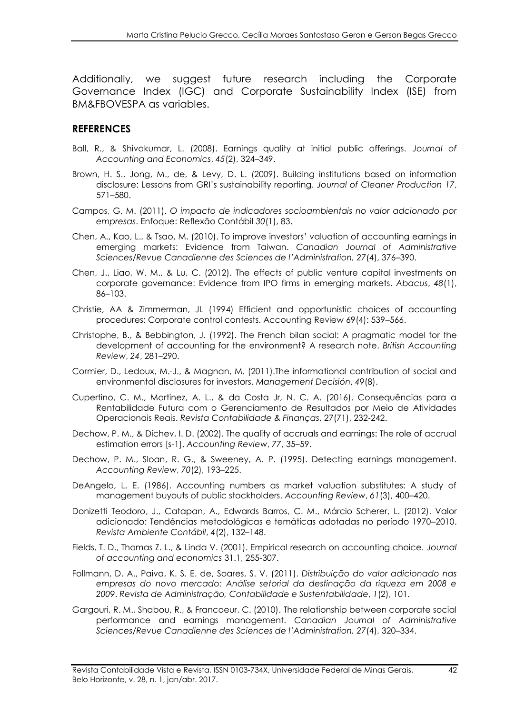Additionally, we suggest future research including the Corporate Governance Index (IGC) and Corporate Sustainability Index (ISE) from BM&FBOVESPA as variables.

#### **REFERENCES**

- Ball, R., & Shivakumar, L. (2008). Earnings quality at initial public offerings. *Journal of Accounting and Economics*, *45*(2), 324–349.
- Brown, H. S., Jong, M., de, & Levy, D. L. (2009). Building institutions based on information disclosure: Lessons from GRI's sustainability reporting. *Journal of Cleaner Production 17*, 571–580.
- Campos, G. M. (2011). *O impacto de indicadores socioambientais no valor adcionado por empresas*. Enfoque: Reflexão Contábil *30*(1), 83.
- Chen, A., Kao, L., & Tsao, M. (2010). To improve investors' valuation of accounting earnings in emerging markets: Evidence from Taiwan. *Canadian Journal of Administrative Sciences/Revue Canadienne des Sciences de l'Administration, 27*(4), 376–390.
- Chen, J., Liao, W. M., & Lu, C. (2012). The effects of public venture capital investments on corporate governance: Evidence from IPO firms in emerging markets. *Abacus*, *48*(1), 86–103.
- Christie, AA & Zimmerman, JL (1994) Efficient and opportunistic choices of accounting procedures: Corporate control contests. Accounting Review 69(4): 539–566.
- Christophe, B., & Bebbington, J. (1992). The French bilan social: A pragmatic model for the development of accounting for the environment? A research note. *British Accounting Review*, *24*, 281–290.
- Cormier, D., Ledoux, M.-J., & Magnan, M. (2011).The informational contribution of social and environmental disclosures for investors. *Management Decisión*, *49*(8).
- Cupertino, C. M., Martinez, A. L., & da Costa Jr, N. C. A. (2016). Consequências para a Rentabilidade Futura com o Gerenciamento de Resultados por Meio de Atividades Operacionais Reais. *Revista Contabilidade & Finanças*, 27(71), 232-242.
- Dechow, P. M., & Dichev, I. D. (2002). The quality of accruals and earnings: The role of accrual estimation errors [s-1]. *Accounting Review*, *77*, 35–59.
- Dechow, P. M., Sloan, R. G., & Sweeney, A. P. (1995). Detecting earnings management. *Accounting Review*, *70*(2), 193–225.
- DeAngelo, L. E. (1986). Accounting numbers as market valuation substitutes: A study of management buyouts of public stockholders. *Accounting Review*, *61*(3), 400–420.
- Donizetti Teodoro, J., Catapan, A., Edwards Barros, C. M., Márcio Scherer, L. (2012). Valor adicionado: Tendências metodológicas e temáticas adotadas no período 1970–2010. *Revista Ambiente Contábil*, *4*(2), 132–148.
- Fields, T. D., Thomas Z. L., & Linda V. (2001). Empirical research on accounting choice. *Journal of accounting and economics* 31.1, 255-307.
- Follmann, D. A., Paiva, K. S. E. de, Soares, S. V. (2011). *Distribuição do valor adicionado nas empresas do novo mercado: Análise setorial da destinação da riqueza em 2008 e 2009*. *Revista de Administração, Contabilidade e Sustentabilidade*, *1*(2), 101.
- Gargouri, R. M., Shabou, R., & Francoeur, C. (2010). The relationship between corporate social performance and earnings management. *Canadian Journal of Administrative Sciences/Revue Canadienne des Sciences de l'Administration, 27*(4), 320–334.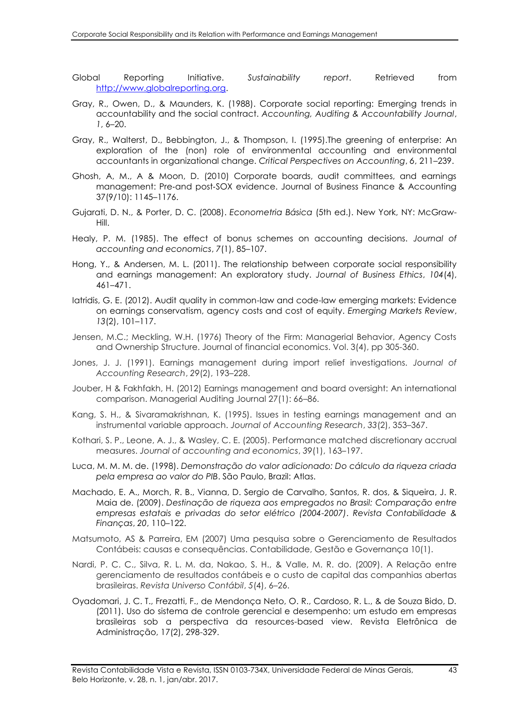- Global Reporting Initiative. *Sustainability report*. Retrieved from [http://www.globalreporting.org.](http://www.globalreporting.org/)
- Gray, R., Owen, D., & Maunders, K. (1988). Corporate social reporting: Emerging trends in accountability and the social contract. *Accounting, Auditing & Accountability Journal*, *1*, 6–20.
- Gray, R., Walterst, D., Bebbington, J., & Thompson, I. (1995).The greening of enterprise: An exploration of the (non) role of environmental accounting and environmental accountants in organizational change. *Critical Perspectives on Accounting*, *6*, 211–239.
- Ghosh, A, M., A & Moon, D. (2010) Corporate boards, audit committees, and earnings management: Pre‐and post‐SOX evidence. Journal of Business Finance & Accounting 37(9/10): 1145–1176.
- Gujarati, D. N., & Porter, D. C. (2008). *Econometria Básica* (5th ed.). New York, NY: McGraw-Hill.
- Healy, P. M. (1985). The effect of bonus schemes on accounting decisions. *Journal of accounting and economics*, *7*(1), 85–107.
- Hong, Y., & Andersen, M. L. (2011). The relationship between corporate social responsibility and earnings management: An exploratory study. *Journal of Business Ethics*, *104*(4), 461–471.
- Iatridis, G. E. (2012). Audit quality in common-law and code-law emerging markets: Evidence on earnings conservatism, agency costs and cost of equity. *Emerging Markets Review*, *13*(2), 101–117.
- Jensen, M.C.; Meckling, W.H. (1976) Theory of the Firm: Managerial Behavior, Agency Costs and Ownership Structure. Journal of financial economics. Vol. 3(4), pp 305-360.
- Jones, J. J. (1991). Earnings management during import relief investigations. *Journal of Accounting Research*, *29*(2), 193–228.
- Jouber, H & Fakhfakh, H. (2012) Earnings management and board oversight: An international comparison. Managerial Auditing Journal 27(1): 66–86.
- Kang, S. H., & Sivaramakrishnan, K. (1995). Issues in testing earnings management and an instrumental variable approach. *Journal of Accounting Research*, *33*(2), 353–367.
- Kothari, S. P., Leone, A. J., & Wasley, C. E. (2005). Performance matched discretionary accrual measures. *Journal of accounting and economics*, *39*(1), 163–197.
- Luca, M. M. M. de. (1998). *Demonstração do valor adicionado: Do cálculo da riqueza criada pela empresa ao valor do PIB*. São Paulo, Brazil: Atlas.
- Machado, E. A., Morch, R. B., Vianna, D. Sergio de Carvalho, Santos, R. dos, & Siqueira, J. R. Maia de. (2009). *Destinação de riqueza aos empregados no Brasil: Comparação entre empresas estatais e privadas do setor elétrico (2004-2007)*. *Revista Contabilidade & Finanças*, *20*, 110–122.
- Matsumoto, AS & Parreira, EM (2007) Uma pesquisa sobre o Gerenciamento de Resultados Contábeis: causas e consequências. Contabilidade, Gestão e Governança 10(1).
- Nardi, P. C. C., Silva, R. L. M. da, Nakao, S. H., & Valle, M. R. do. (2009). A Relação entre gerenciamento de resultados contábeis e o custo de capital das companhias abertas brasileiras. *Revista Universo Contábil*, *5*(4), 6–26.
- Oyadomari, J. C. T., Frezatti, F., de Mendonça Neto, O. R., Cardoso, R. L., & de Souza Bido, D. (2011). Uso do sistema de controle gerencial e desempenho: um estudo em empresas brasileiras sob a perspectiva da resources-based view. Revista Eletrônica de Administração, 17(2), 298-329.